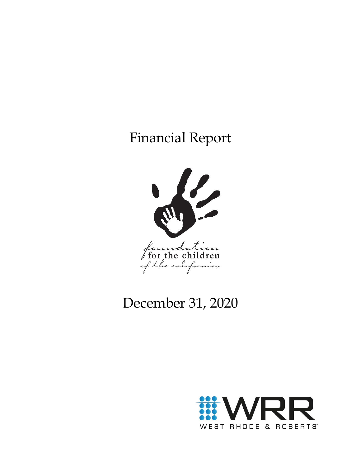# Financial Report



# December 31, 2020

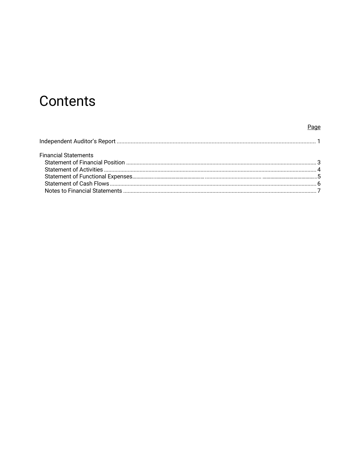## Contents

## Page

| <b>Financial Statements</b> |  |
|-----------------------------|--|
|                             |  |
|                             |  |
|                             |  |
|                             |  |
|                             |  |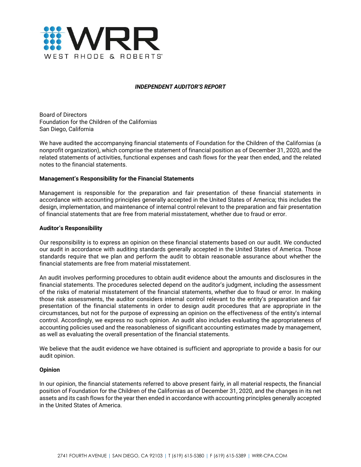

#### *INDEPENDENT AUDITOR'S REPORT*

Board of Directors Foundation for the Children of the Californias San Diego, California

We have audited the accompanying financial statements of Foundation for the Children of the Californias (a nonprofit organization), which comprise the statement of financial position as of December 31, 2020, and the related statements of activities, functional expenses and cash flows for the year then ended, and the related notes to the financial statements.

#### **Management's Responsibility for the Financial Statements**

Management is responsible for the preparation and fair presentation of these financial statements in accordance with accounting principles generally accepted in the United States of America; this includes the design, implementation, and maintenance of internal control relevant to the preparation and fair presentation of financial statements that are free from material misstatement, whether due to fraud or error.

#### **Auditor's Responsibility**

Our responsibility is to express an opinion on these financial statements based on our audit. We conducted our audit in accordance with auditing standards generally accepted in the United States of America. Those standards require that we plan and perform the audit to obtain reasonable assurance about whether the financial statements are free from material misstatement.

An audit involves performing procedures to obtain audit evidence about the amounts and disclosures in the financial statements. The procedures selected depend on the auditor's judgment, including the assessment of the risks of material misstatement of the financial statements, whether due to fraud or error. In making those risk assessments, the auditor considers internal control relevant to the entity's preparation and fair presentation of the financial statements in order to design audit procedures that are appropriate in the circumstances, but not for the purpose of expressing an opinion on the effectiveness of the entity's internal control. Accordingly, we express no such opinion. An audit also includes evaluating the appropriateness of accounting policies used and the reasonableness of significant accounting estimates made by management, as well as evaluating the overall presentation of the financial statements.

We believe that the audit evidence we have obtained is sufficient and appropriate to provide a basis for our audit opinion.

#### **Opinion**

In our opinion, the financial statements referred to above present fairly, in all material respects, the financial position of Foundation for the Children of the Californias as of December 31, 2020, and the changes in its net assets and its cash flows for the year then ended in accordance with accounting principles generally accepted in the United States of America.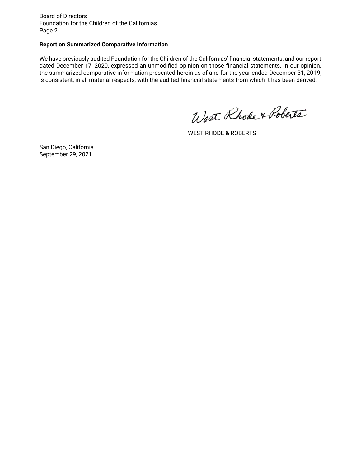Board of Directors Foundation for the Children of the Californias Page 2

#### **Report on Summarized Comparative Information**

We have previously audited Foundation for the Children of the Californias' financial statements, and our report dated December 17, 2020, expressed an unmodified opinion on those financial statements. In our opinion, the summarized comparative information presented herein as of and for the year ended December 31, 2019, is consistent, in all material respects, with the audited financial statements from which it has been derived.

West Rhode & Roberts

WEST RHODE & ROBERTS

San Diego, California September 29, 2021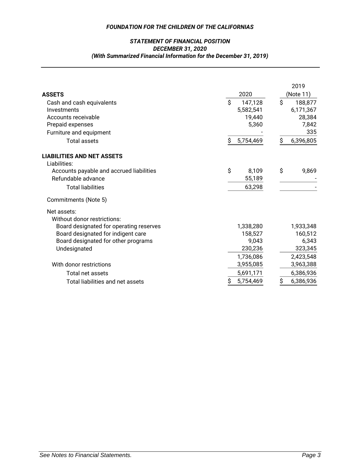## *STATEMENT OF FINANCIAL POSITION (With Summarized Financial Information for the December 31, 2019) DECEMBER 31, 2020*

| <b>ASSETS</b>                            | 2020            | 2019<br>(Note 11) |
|------------------------------------------|-----------------|-------------------|
| Cash and cash equivalents                | Ś<br>147,128    | Ś<br>188,877      |
| Investments                              | 5,582,541       | 6,171,367         |
| Accounts receivable                      | 19,440          | 28,384            |
| Prepaid expenses                         | 5,360           | 7,842             |
| Furniture and equipment                  |                 | 335               |
| <b>Total assets</b>                      | \$<br>5,754,469 | \$<br>6,396,805   |
| <b>LIABILITIES AND NET ASSETS</b>        |                 |                   |
| Liabilities:                             |                 |                   |
| Accounts payable and accrued liabilities | \$<br>8,109     | \$<br>9,869       |
| Refundable advance                       | 55,189          |                   |
| <b>Total liabilities</b>                 | 63,298          |                   |
| Commitments (Note 5)                     |                 |                   |
| Net assets:                              |                 |                   |
| Without donor restrictions:              |                 |                   |
| Board designated for operating reserves  | 1,338,280       | 1,933,348         |
| Board designated for indigent care       | 158,527         | 160,512           |
| Board designated for other programs      | 9,043           | 6,343             |
| Undesignated                             | 230,236         | 323,345           |
|                                          | 1,736,086       | 2,423,548         |
| With donor restrictions                  | 3,955,085       | 3,963,388         |
| <b>Total net assets</b>                  | 5,691,171       | 6,386,936         |
| Total liabilities and net assets         | \$<br>5,754,469 | \$<br>6,386,936   |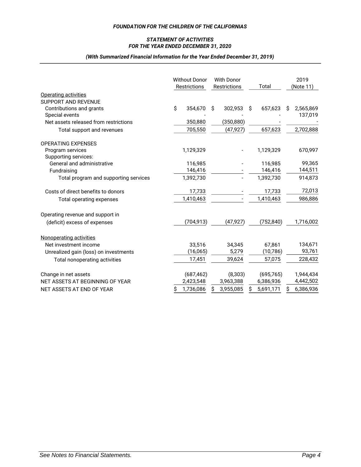#### *FOR THE YEAR ENDED DECEMBER 31, 2020 STATEMENT OF ACTIVITIES*

#### *(With Summarized Financial Information for the Year Ended December 31, 2019)*

|                                                        |    | <b>Without Donor</b><br><b>Restrictions</b> |    | <b>With Donor</b><br><b>Restrictions</b> |    | Total     |   | 2019<br>(Note 11) |
|--------------------------------------------------------|----|---------------------------------------------|----|------------------------------------------|----|-----------|---|-------------------|
| Operating activities                                   |    |                                             |    |                                          |    |           |   |                   |
| <b>SUPPORT AND REVENUE</b><br>Contributions and grants | \$ | 354,670                                     | \$ | 302,953                                  | \$ | 657,623   | S | 2,565,869         |
| Special events                                         |    |                                             |    |                                          |    |           |   | 137,019           |
| Net assets released from restrictions                  |    | 350,880                                     |    | (350, 880)                               |    |           |   |                   |
| Total support and revenues                             |    | 705,550                                     |    | (47, 927)                                |    | 657,623   |   | 2,702,888         |
| <b>OPERATING EXPENSES</b>                              |    |                                             |    |                                          |    |           |   |                   |
| Program services                                       |    | 1,129,329                                   |    |                                          |    | 1,129,329 |   | 670,997           |
| Supporting services:                                   |    |                                             |    |                                          |    |           |   |                   |
| General and administrative                             |    | 116,985                                     |    |                                          |    | 116,985   |   | 99,365            |
| Fundraising                                            |    | 146,416                                     |    |                                          |    | 146,416   |   | 144,511           |
| Total program and supporting services                  |    | 1,392,730                                   |    |                                          |    | 1,392,730 |   | 914,873           |
| Costs of direct benefits to donors                     |    | 17,733                                      |    |                                          |    | 17,733    |   | 72,013            |
| Total operating expenses                               |    | 1,410,463                                   |    |                                          |    | 1,410,463 |   | 986,886           |
| Operating revenue and support in                       |    |                                             |    |                                          |    |           |   |                   |
| (deficit) excess of expenses                           |    | (704, 913)                                  |    | (47, 927)                                |    | (752,840) |   | 1,716,002         |
| Nonoperating activities                                |    |                                             |    |                                          |    |           |   |                   |
| Net investment income                                  |    | 33,516                                      |    | 34,345                                   |    | 67,861    |   | 134,671           |
| Unrealized gain (loss) on investments                  |    | (16, 065)                                   |    | 5,279                                    |    | (10, 786) |   | 93,761            |
| Total nonoperating activities                          |    | 17,451                                      |    | 39,624                                   |    | 57,075    |   | 228,432           |
|                                                        |    |                                             |    |                                          |    |           |   |                   |
| Change in net assets                                   |    | (687, 462)                                  |    | (8,303)                                  |    | (695,765) |   | 1,944,434         |
| NET ASSETS AT BEGINNING OF YEAR                        |    | 2,423,548                                   |    | 3,963,388                                |    | 6,386,936 |   | 4,442,502         |
| NET ASSETS AT END OF YEAR                              | S  | 1,736,086                                   | S  | 3,955,085                                | S  | 5,691,171 | S | 6,386,936         |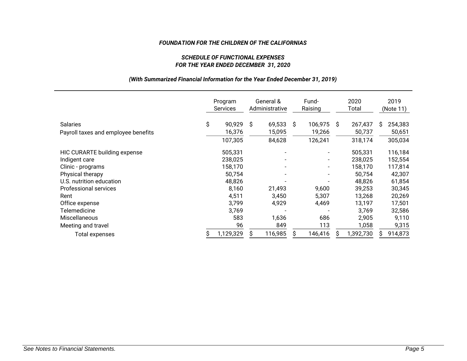## *FOR THE YEAR ENDED DECEMBER 31, 2020 SCHEDULE OF FUNCTIONAL EXPENSES*

## *(With Summarized Financial Information for the Year Ended December 31, 2019)*

|                                     | Program<br><b>Services</b> | General &<br>Administrative | Fund-<br>Raising | 2020<br>Total | 2019<br>(Note 11) |
|-------------------------------------|----------------------------|-----------------------------|------------------|---------------|-------------------|
| <b>Salaries</b>                     | \$<br>90,929               | Ŝ<br>69,533                 | Ŝ<br>106,975     | Ŝ.<br>267,437 | S<br>254,383      |
| Payroll taxes and employee benefits | 16,376                     | 15,095                      | 19,266           | 50,737        | 50,651            |
|                                     | 107,305                    | 84,628                      | 126,241          | 318,174       | 305,034           |
| <b>HIC CURARTE building expense</b> | 505,331                    |                             | -                | 505,331       | 116,184           |
| Indigent care                       | 238,025                    | $\overline{\phantom{a}}$    | -                | 238,025       | 152,554           |
| Clinic - programs                   | 158,170                    |                             |                  | 158,170       | 117,814           |
| Physical therapy                    | 50,754                     |                             |                  | 50,754        | 42,307            |
| U.S. nutrition education            | 48,826                     |                             |                  | 48,826        | 61,854            |
| Professional services               | 8,160                      | 21,493                      | 9,600            | 39,253        | 30,345            |
| Rent                                | 4,511                      | 3,450                       | 5,307            | 13,268        | 20,269            |
| Office expense                      | 3.799                      | 4,929                       | 4,469            | 13,197        | 17,501            |
| <b>Telemedicine</b>                 | 3,769                      |                             |                  | 3,769         | 32,586            |
| Miscellaneous                       | 583                        | 1,636                       | 686              | 2,905         | 9,110             |
| Meeting and travel                  | 96                         | 849                         | 113              | 1,058         | 9,315             |
| <b>Total expenses</b>               | 1,129,329                  | 116,985                     | 146,416<br>S     | 1,392,730     | 914,873           |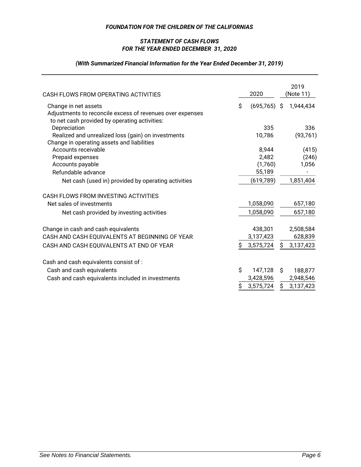## *FOR THE YEAR ENDED DECEMBER 31, 2020 STATEMENT OF CASH FLOWS*

## *(With Summarized Financial Information for the Year Ended December 31, 2019)*

| CASH FLOWS FROM OPERATING ACTIVITIES                                                                                               | 2020                 |    | 2019<br>(Note 11) |
|------------------------------------------------------------------------------------------------------------------------------------|----------------------|----|-------------------|
| Change in net assets<br>Adjustments to reconcile excess of revenues over expenses<br>to net cash provided by operating activities: | \$<br>$(695,765)$ \$ |    | 1,944,434         |
| Depreciation                                                                                                                       | 335                  |    | 336               |
| Realized and unrealized loss (gain) on investments<br>Change in operating assets and liabilities                                   | 10,786               |    | (93, 761)         |
| Accounts receivable                                                                                                                | 8,944                |    | (415)             |
| Prepaid expenses                                                                                                                   | 2,482                |    | (246)             |
| Accounts payable                                                                                                                   | (1,760)              |    | 1,056             |
| Refundable advance                                                                                                                 | 55,189               |    |                   |
| Net cash (used in) provided by operating activities                                                                                | (619, 789)           |    | 1,851,404         |
| CASH FLOWS FROM INVESTING ACTIVITIES                                                                                               |                      |    |                   |
| Net sales of investments                                                                                                           | 1,058,090            |    | 657,180           |
| Net cash provided by investing activities                                                                                          | 1,058,090            |    | 657,180           |
| Change in cash and cash equivalents                                                                                                | 438,301              |    | 2,508,584         |
| CASH AND CASH EQUIVALENTS AT BEGINNING OF YEAR                                                                                     | 3,137,423            |    | 628,839           |
| CASH AND CASH EQUIVALENTS AT END OF YEAR                                                                                           | \$<br>3,575,724      | S. | 3,137,423         |
| Cash and cash equivalents consist of :                                                                                             |                      |    |                   |
| Cash and cash equivalents                                                                                                          | \$<br>147,128        | Ŝ. | 188,877           |
| Cash and cash equivalents included in investments                                                                                  | 3,428,596            |    | 2,948,546         |
|                                                                                                                                    | \$<br>3,575,724      | \$ | 3,137,423         |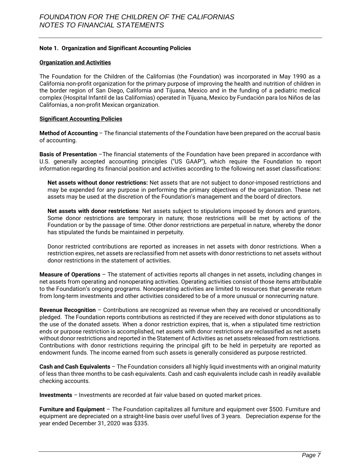### **Note 1. Organization and Significant Accounting Policies**

#### **Organization and Activities**

The Foundation for the Children of the Californias (the Foundation) was incorporated in May 1990 as a California non-profit organization for the primary purpose of improving the health and nutrition of children in the border region of San Diego, California and Tijuana, Mexico and in the funding of a pediatric medical complex (Hospital Infantil de las Californias) operated in Tijuana, Mexico by Fundación para los Niños de las Californias, a non-profit Mexican organization.

#### **Significant Accounting Policies**

**Method of Accounting** – The financial statements of the Foundation have been prepared on the accrual basis of accounting.

**Basis of Presentation** –The financial statements of the Foundation have been prepared in accordance with U.S. generally accepted accounting principles ("US GAAP"), which require the Foundation to report information regarding its financial position and activities according to the following net asset classifications:

**Net assets without donor restrictions:** Net assets that are not subject to donor-imposed restrictions and may be expended for any purpose in performing the primary objectives of the organization. These net assets may be used at the discretion of the Foundation's management and the board of directors.

**Net assets with donor restrictions**: Net assets subject to stipulations imposed by donors and grantors. Some donor restrictions are temporary in nature; those restrictions will be met by actions of the Foundation or by the passage of time. Other donor restrictions are perpetual in nature, whereby the donor has stipulated the funds be maintained in perpetuity.

Donor restricted contributions are reported as increases in net assets with donor restrictions. When a restriction expires, net assets are reclassified from net assets with donor restrictions to net assets without donor restrictions in the statement of activities.

**Measure of Operations** – The statement of activities reports all changes in net assets, including changes in net assets from operating and nonoperating activities. Operating activities consist of those items attributable to the Foundation's ongoing programs. Nonoperating activities are limited to resources that generate return from long-term investments and other activities considered to be of a more unusual or nonrecurring nature.

**Revenue Recognition** – Contributions are recognized as revenue when they are received or unconditionally pledged. The Foundation reports contributions as restricted if they are received with donor stipulations as to the use of the donated assets. When a donor restriction expires, that is, when a stipulated time restriction ends or purpose restriction is accomplished, net assets with donor restrictions are reclassified as net assets without donor restrictions and reported in the Statement of Activities as net assets released from restrictions. Contributions with donor restrictions requiring the principal gift to be held in perpetuity are reported as endowment funds. The income earned from such assets is generally considered as purpose restricted.

**Cash and Cash Equivalents** – The Foundation considers all highly liquid investments with an original maturity of less than three months to be cash equivalents. Cash and cash equivalents include cash in readily available checking accounts.

**Investments** *–* Investments are recorded at fair value based on quoted market prices.

**Furniture and Equipment** – The Foundation capitalizes all furniture and equipment over \$500. Furniture and equipment are depreciated on a straight-line basis over useful lives of 3 years. Depreciation expense for the year ended December 31, 2020 was \$335.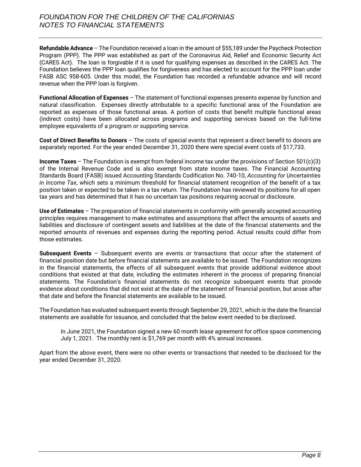**Refundable Advance** – The Foundation received a loan in the amount of \$55,189 under the Paycheck Protection Program (PPP). The PPP was established as part of the Coronavirus Aid, Relief and Economic Security Act (CARES Act). The loan is forgivable if it is used for qualifying expenses as described in the CARES Act. The Foundation believes the PPP loan qualifies for forgiveness and has elected to account for the PPP loan under FASB ASC 958-605. Under this model, the Foundation has recorded a refundable advance and will record revenue when the PPP loan is forgiven.

**Functional Allocation of Expenses** – The statement of functional expenses presents expense by function and natural classification. Expenses directly attributable to a specific functional area of the Foundation are reported as expenses of those functional areas. A portion of costs that benefit multiple functional areas (indirect costs) have been allocated across programs and supporting services based on the full-time employee equivalents of a program or supporting service.

**Cost of Direct Benefits to Donors** *–* The costs of special events that represent a direct benefit to donors are separately reported. For the year ended December 31, 2020 there were special event costs of \$17,733.

**Income Taxes** – The Foundation is exempt from federal income tax under the provisions of Section 501(c)(3) of the Internal Revenue Code and is also exempt from state income taxes. The Financial Accounting Standards Board (FASB) issued Accounting Standards Codification No. 740-10, *Accounting for Uncertainties in Income Tax*, which sets a minimum threshold for financial statement recognition of the benefit of a tax position taken or expected to be taken in a tax return. The Foundation has reviewed its positions for all open tax years and has determined that it has no uncertain tax positions requiring accrual or disclosure.

**Use of Estimates** – The preparation of financial statements in conformity with generally accepted accounting principles requires management to make estimates and assumptions that affect the amounts of assets and liabilities and disclosure of contingent assets and liabilities at the date of the financial statements and the reported amounts of revenues and expenses during the reporting period. Actual results could differ from those estimates.

**Subsequent Events** – Subsequent events are events or transactions that occur after the statement of financial position date but before financial statements are available to be issued. The Foundation recognizes in the financial statements, the effects of all subsequent events that provide additional evidence about conditions that existed at that date, including the estimates inherent in the process of preparing financial statements. The Foundation's financial statements do not recognize subsequent events that provide evidence about conditions that did not exist at the date of the statement of financial position, but arose after that date and before the financial statements are available to be issued.

The Foundation has evaluated subsequent events through September 29, 2021, which is the date the financial statements are available for issuance, and concluded that the below event needed to be disclosed.

In June 2021, the Foundation signed a new 60 month lease agreement for office space commencing July 1, 2021. The monthly rent is \$1,769 per month with 4% annual increases.

Apart from the above event, there were no other events or transactions that needed to be disclosed for the year ended December 31, 2020.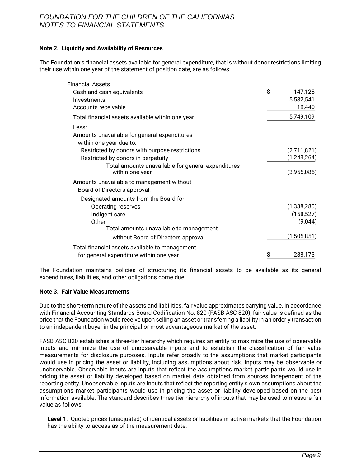## **Note 2. Liquidity and Availability of Resources**

The Foundation's financial assets available for general expenditure, that is without donor restrictions limiting their use within one year of the statement of position date, are as follows:

| <b>Financial Assets</b>                                                                                                                                                                                                                                                                                                                                                                                                                                                                                                                                                                                                                                                                                                                                                                                                                                                                                                                                                                        |                       |
|------------------------------------------------------------------------------------------------------------------------------------------------------------------------------------------------------------------------------------------------------------------------------------------------------------------------------------------------------------------------------------------------------------------------------------------------------------------------------------------------------------------------------------------------------------------------------------------------------------------------------------------------------------------------------------------------------------------------------------------------------------------------------------------------------------------------------------------------------------------------------------------------------------------------------------------------------------------------------------------------|-----------------------|
| Cash and cash equivalents                                                                                                                                                                                                                                                                                                                                                                                                                                                                                                                                                                                                                                                                                                                                                                                                                                                                                                                                                                      | \$<br>147,128         |
| Investments                                                                                                                                                                                                                                                                                                                                                                                                                                                                                                                                                                                                                                                                                                                                                                                                                                                                                                                                                                                    | 5,582,541             |
| Accounts receivable                                                                                                                                                                                                                                                                                                                                                                                                                                                                                                                                                                                                                                                                                                                                                                                                                                                                                                                                                                            | 19,440                |
| Total financial assets available within one year                                                                                                                                                                                                                                                                                                                                                                                                                                                                                                                                                                                                                                                                                                                                                                                                                                                                                                                                               | 5,749,109             |
| Less:                                                                                                                                                                                                                                                                                                                                                                                                                                                                                                                                                                                                                                                                                                                                                                                                                                                                                                                                                                                          |                       |
| Amounts unavailable for general expenditures                                                                                                                                                                                                                                                                                                                                                                                                                                                                                                                                                                                                                                                                                                                                                                                                                                                                                                                                                   |                       |
| within one year due to:                                                                                                                                                                                                                                                                                                                                                                                                                                                                                                                                                                                                                                                                                                                                                                                                                                                                                                                                                                        |                       |
| Restricted by donors with purpose restrictions                                                                                                                                                                                                                                                                                                                                                                                                                                                                                                                                                                                                                                                                                                                                                                                                                                                                                                                                                 | (2,711,821)           |
| Restricted by donors in perpetuity                                                                                                                                                                                                                                                                                                                                                                                                                                                                                                                                                                                                                                                                                                                                                                                                                                                                                                                                                             | (1, 243, 264)         |
| Total amounts unavailable for general expenditures<br>within one year                                                                                                                                                                                                                                                                                                                                                                                                                                                                                                                                                                                                                                                                                                                                                                                                                                                                                                                          | (3,955,085)           |
| Amounts unavailable to management without                                                                                                                                                                                                                                                                                                                                                                                                                                                                                                                                                                                                                                                                                                                                                                                                                                                                                                                                                      |                       |
| Board of Directors approval:                                                                                                                                                                                                                                                                                                                                                                                                                                                                                                                                                                                                                                                                                                                                                                                                                                                                                                                                                                   |                       |
| Designated amounts from the Board for:                                                                                                                                                                                                                                                                                                                                                                                                                                                                                                                                                                                                                                                                                                                                                                                                                                                                                                                                                         |                       |
| Operating reserves                                                                                                                                                                                                                                                                                                                                                                                                                                                                                                                                                                                                                                                                                                                                                                                                                                                                                                                                                                             | (1,338,280)           |
| Indigent care<br>Other                                                                                                                                                                                                                                                                                                                                                                                                                                                                                                                                                                                                                                                                                                                                                                                                                                                                                                                                                                         | (158, 527)<br>(9,044) |
| Total amounts unavailable to management                                                                                                                                                                                                                                                                                                                                                                                                                                                                                                                                                                                                                                                                                                                                                                                                                                                                                                                                                        |                       |
| without Board of Directors approval                                                                                                                                                                                                                                                                                                                                                                                                                                                                                                                                                                                                                                                                                                                                                                                                                                                                                                                                                            | (1,505,851)           |
| Total financial assets available to management                                                                                                                                                                                                                                                                                                                                                                                                                                                                                                                                                                                                                                                                                                                                                                                                                                                                                                                                                 |                       |
| for general expenditure within one year                                                                                                                                                                                                                                                                                                                                                                                                                                                                                                                                                                                                                                                                                                                                                                                                                                                                                                                                                        | \$<br>288,173         |
| E Foundation maintains policies of structuring its financial assets to be available as its genera<br>enditures, liabilities, and other obligations come due.                                                                                                                                                                                                                                                                                                                                                                                                                                                                                                                                                                                                                                                                                                                                                                                                                                   |                       |
| te 3. Fair Value Measurements                                                                                                                                                                                                                                                                                                                                                                                                                                                                                                                                                                                                                                                                                                                                                                                                                                                                                                                                                                  |                       |
| e to the short-term nature of the assets and liabilities, fair value approximates carrying value. In accordanc<br>h Financial Accounting Standards Board Codification No. 820 (FASB ASC 820), fair value is defined as th<br>ce that the Foundation would receive upon selling an asset or transferring a liability in an orderly transactic<br>an independent buyer in the principal or most advantageous market of the asset.                                                                                                                                                                                                                                                                                                                                                                                                                                                                                                                                                                |                       |
| SB ASC 820 establishes a three-tier hierarchy which requires an entity to maximize the use of observab<br>uts and minimize the use of unobservable inputs and to establish the classification of fair valu<br>asurements for disclosure purposes. Inputs refer broadly to the assumptions that market participant<br>uld use in pricing the asset or liability, including assumptions about risk. Inputs may be observable o<br>bbservable. Observable inputs are inputs that reflect the assumptions market participants would use<br>cing the asset or liability developed based on market data obtained from sources independent of th<br>orting entity. Unobservable inputs are inputs that reflect the reporting entity's own assumptions about the<br>sumptions market participants would use in pricing the asset or liability developed based on the be-<br>ormation available. The standard describes three-tier hierarchy of inputs that may be used to measure fa<br>ue as follows: |                       |
| Level 1: Quoted prices (unadjusted) of identical assets or liabilities in active markets that the Foundatio<br>has the ability to access as of the measurement date.                                                                                                                                                                                                                                                                                                                                                                                                                                                                                                                                                                                                                                                                                                                                                                                                                           |                       |

#### **Note 3. Fair Value Measurements**

Due to the short-term nature of the assets and liabilities, fair value approximates carrying value. In accordance with Financial Accounting Standards Board Codification No. 820 (FASB ASC 820), fair value is defined as the price that the Foundation would receive upon selling an asset or transferring a liability in an orderly transaction to an independent buyer in the principal or most advantageous market of the asset.

FASB ASC 820 establishes a three-tier hierarchy which requires an entity to maximize the use of observable inputs and minimize the use of unobservable inputs and to establish the classification of fair value measurements for disclosure purposes. Inputs refer broadly to the assumptions that market participants would use in pricing the asset or liability, including assumptions about risk. Inputs may be observable or unobservable. Observable inputs are inputs that reflect the assumptions market participants would use in pricing the asset or liability developed based on market data obtained from sources independent of the reporting entity. Unobservable inputs are inputs that reflect the reporting entity's own assumptions about the assumptions market participants would use in pricing the asset or liability developed based on the best information available. The standard describes three-tier hierarchy of inputs that may be used to measure fair value as follows: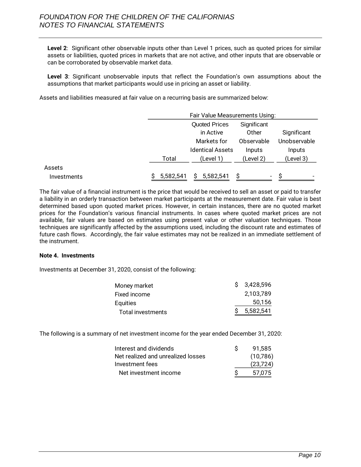**Level 2**: Significant other observable inputs other than Level 1 prices, such as quoted prices for similar assets or liabilities, quoted prices in markets that are not active, and other inputs that are observable or can be corroborated by observable market data.

**Level 3**: Significant unobservable inputs that reflect the Foundation's own assumptions about the assumptions that market participants would use in pricing an asset or liability.

Assets and liabilities measured at fair value on a recurring basis are summarized below:

|             |           | Fair Value Measurements Using:    |                      |                          |  |  |
|-------------|-----------|-----------------------------------|----------------------|--------------------------|--|--|
|             |           | <b>Quoted Prices</b><br>in Active | Significant<br>Other | Significant              |  |  |
|             |           | Markets for                       | Observable           | Unobservable             |  |  |
|             |           | <b>Identical Assets</b>           | Inputs               | Inputs                   |  |  |
|             | Total     | (Level 1)                         | (Level 2)            | (Level 3)                |  |  |
| Assets      |           |                                   |                      |                          |  |  |
| Investments | 5,582,541 | 5,582,541                         | $\sim$               | $\overline{\phantom{0}}$ |  |  |

The fair value of a financial instrument is the price that would be received to sell an asset or paid to transfer a liability in an orderly transaction between market participants at the measurement date. Fair value is best determined based upon quoted market prices. However, in certain instances, there are no quoted market prices for the Foundation's various financial instruments. In cases where quoted market prices are not available, fair values are based on estimates using present value or other valuation techniques. Those techniques are significantly affected by the assumptions used, including the discount rate and estimates of future cash flows. Accordingly, the fair value estimates may not be realized in an immediate settlement of the instrument.

#### **Note 4. Investments**

Investments at December 31, 2020, consist of the following:

| Money market      | \$3,428,596 |
|-------------------|-------------|
| Fixed income      | 2,103,789   |
| Equities          | 50.156      |
| Total investments | \$5,582,541 |

The following is a summary of net investment income for the year ended December 31, 2020:

| Interest and dividends             | 91.585    |
|------------------------------------|-----------|
| Net realized and unrealized losses | (10,786)  |
| Investment fees                    | (23, 724) |
| Net investment income              | 57.075    |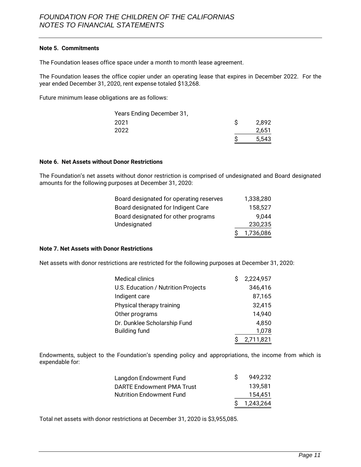### **Note 5. Commitments**

The Foundation leases office space under a month to month lease agreement.

The Foundation leases the office copier under an operating lease that expires in December 2022. For the year ended December 31, 2020, rent expense totaled \$13,268.

Future minimum lease obligations are as follows:

| Years Ending December 31, |       |
|---------------------------|-------|
| 2021                      | 2.892 |
| 2022                      | 2,651 |
|                           | 5.543 |

#### **Note 6. Net Assets without Donor Restrictions**

The Foundation's net assets without donor restriction is comprised of undesignated and Board designated amounts for the following purposes at December 31, 2020:

| Board designated for operating reserves | 1,338,280 |
|-----------------------------------------|-----------|
| Board designated for Indigent Care      | 158,527   |
| Board designated for other programs     | 9.044     |
| Undesignated                            | 230,235   |
|                                         | 1,736,086 |

#### **Note 7. Net Assets with Donor Restrictions**

Net assets with donor restrictions are restricted for the following purposes at December 31, 2020:

| <b>Medical clinics</b>              | Ś | 2,224,957 |
|-------------------------------------|---|-----------|
| U.S. Education / Nutrition Projects |   | 346,416   |
| Indigent care                       |   | 87,165    |
| Physical therapy training           |   | 32,415    |
| Other programs                      |   | 14,940    |
| Dr. Dunklee Scholarship Fund        |   | 4,850     |
| <b>Building fund</b>                |   | 1,078     |
|                                     |   | 2,711,821 |

Endowments, subject to the Foundation's spending policy and appropriations, the income from which is expendable for:

| Langdon Endowment Fund           | 949.232     |
|----------------------------------|-------------|
| <b>DARTE Endowment PMA Trust</b> | 139.581     |
| <b>Nutrition Endowment Fund</b>  | 154.451     |
|                                  | \$1,243,264 |

Total net assets with donor restrictions at December 31, 2020 is \$3,955,085.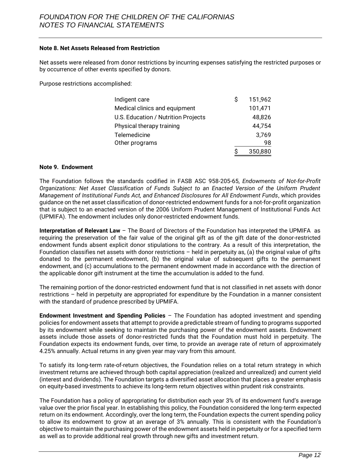### **Note 8. Net Assets Released from Restriction**

Net assets were released from donor restrictions by incurring expenses satisfying the restricted purposes or by occurrence of other events specified by donors.

Purpose restrictions accomplished:

| Indigent care                       | S | 151,962 |
|-------------------------------------|---|---------|
| Medical clinics and equipment       |   | 101,471 |
| U.S. Education / Nutrition Projects |   | 48,826  |
| Physical therapy training           |   | 44,754  |
| Telemedicine                        |   | 3,769   |
| Other programs                      |   | 98      |
|                                     | S | 350,880 |

#### **Note 9. Endowment**

The Foundation follows the standards codified in FASB ASC 958-205-65, *Endowments of Not-for-Profit Organizations: Net Asset Classification of Funds Subject to an Enacted Version of the Uniform Prudent Management of Institutional Funds Act, and Enhanced Disclosures for All Endowment Funds*, which provides guidance on the net asset classification of donor-restricted endowment funds for a not-for-profit organization that is subject to an enacted version of the 2006 Uniform Prudent Management of Institutional Funds Act (UPMIFA). The endowment includes only donor-restricted endowment funds.

**Interpretation of Relevant Law** – The Board of Directors of the Foundation has interpreted the UPMIFA as requiring the preservation of the fair value of the original gift as of the gift date of the donor-restricted endowment funds absent explicit donor stipulations to the contrary. As a result of this interpretation, the Foundation classifies net assets with donor restrictions – held in perpetuity as, (a) the original value of gifts donated to the permanent endowment, (b) the original value of subsequent gifts to the permanent endowment, and (c) accumulations to the permanent endowment made in accordance with the direction of the applicable donor gift instrument at the time the accumulation is added to the fund.

The remaining portion of the donor-restricted endowment fund that is not classified in net assets with donor restrictions – held in perpetuity are appropriated for expenditure by the Foundation in a manner consistent with the standard of prudence prescribed by UPMIFA.

**Endowment Investment and Spending Policies** – The Foundation has adopted investment and spending policies for endowment assets that attempt to provide a predictable stream of funding to programs supported by its endowment while seeking to maintain the purchasing power of the endowment assets. Endowment assets include those assets of donor-restricted funds that the Foundation must hold in perpetuity. The Foundation expects its endowment funds, over time, to provide an average rate of return of approximately 4.25% annually. Actual returns in any given year may vary from this amount.

To satisfy its long-term rate-of-return objectives, the Foundation relies on a total return strategy in which investment returns are achieved through both capital appreciation (realized and unrealized) and current yield (interest and dividends). The Foundation targets a diversified asset allocation that places a greater emphasis on equity-based investments to achieve its long-term return objectives within prudent risk constraints.

The Foundation has a policy of appropriating for distribution each year 3% of its endowment fund's average value over the prior fiscal year. In establishing this policy, the Foundation considered the long-term expected return on its endowment. Accordingly, over the long term, the Foundation expects the current spending policy to allow its endowment to grow at an average of 3% annually. This is consistent with the Foundation's objective to maintain the purchasing power of the endowment assets held in perpetuity or for a specified term as well as to provide additional real growth through new gifts and investment return.